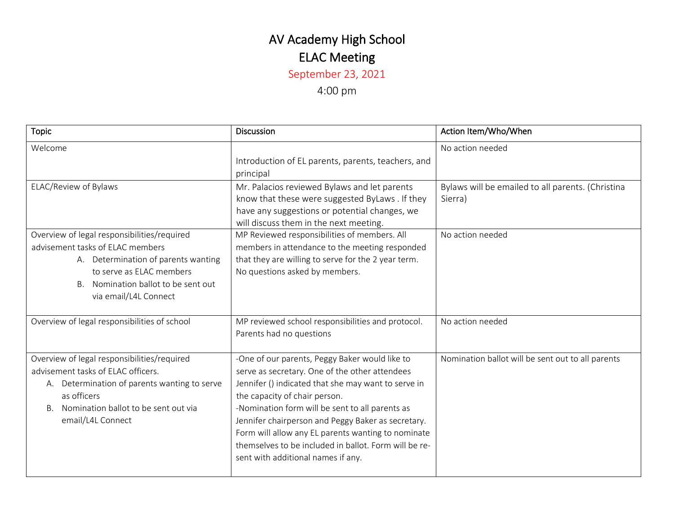## AV Academy High School ELAC Meeting

September 23, 2021

4:00 pm

| <b>Topic</b>                                                                                                                                                                                                        | <b>Discussion</b>                                                                                                                                                                                                                                                                                                                                                                                                                                      | Action Item/Who/When                                         |
|---------------------------------------------------------------------------------------------------------------------------------------------------------------------------------------------------------------------|--------------------------------------------------------------------------------------------------------------------------------------------------------------------------------------------------------------------------------------------------------------------------------------------------------------------------------------------------------------------------------------------------------------------------------------------------------|--------------------------------------------------------------|
| Welcome                                                                                                                                                                                                             | Introduction of EL parents, parents, teachers, and<br>principal                                                                                                                                                                                                                                                                                                                                                                                        | No action needed                                             |
| ELAC/Review of Bylaws                                                                                                                                                                                               | Mr. Palacios reviewed Bylaws and let parents<br>know that these were suggested ByLaws . If they<br>have any suggestions or potential changes, we<br>will discuss them in the next meeting.                                                                                                                                                                                                                                                             | Bylaws will be emailed to all parents. (Christina<br>Sierra) |
| Overview of legal responsibilities/required<br>advisement tasks of ELAC members<br>A. Determination of parents wanting<br>to serve as ELAC members<br>B. Nomination ballot to be sent out<br>via email/L4L Connect  | MP Reviewed responsibilities of members. All<br>members in attendance to the meeting responded<br>that they are willing to serve for the 2 year term.<br>No questions asked by members.                                                                                                                                                                                                                                                                | No action needed                                             |
| Overview of legal responsibilities of school                                                                                                                                                                        | MP reviewed school responsibilities and protocol.<br>Parents had no questions                                                                                                                                                                                                                                                                                                                                                                          | No action needed                                             |
| Overview of legal responsibilities/required<br>advisement tasks of ELAC officers.<br>A. Determination of parents wanting to serve<br>as officers<br>Nomination ballot to be sent out via<br>Β.<br>email/L4L Connect | -One of our parents, Peggy Baker would like to<br>serve as secretary. One of the other attendees<br>Jennifer () indicated that she may want to serve in<br>the capacity of chair person.<br>-Nomination form will be sent to all parents as<br>Jennifer chairperson and Peggy Baker as secretary.<br>Form will allow any EL parents wanting to nominate<br>themselves to be included in ballot. Form will be re-<br>sent with additional names if any. | Nomination ballot will be sent out to all parents            |